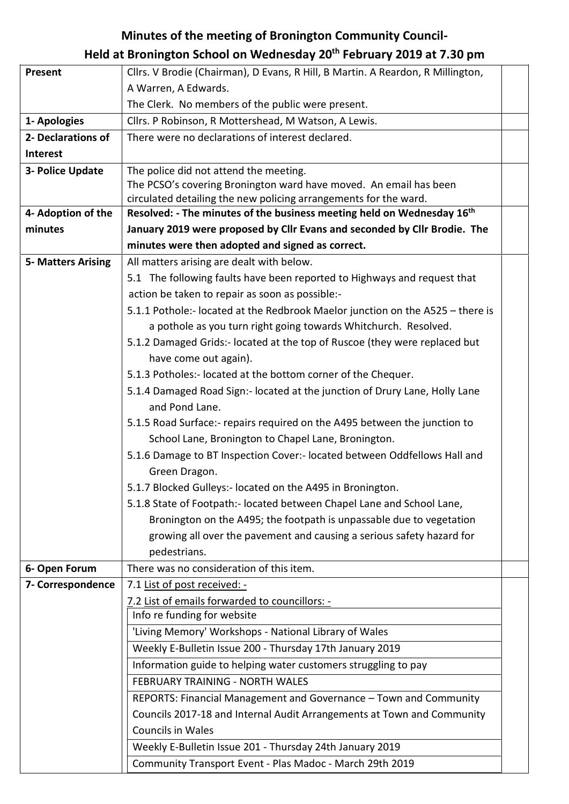## **Minutes of the meeting of Bronington Community Council-**

## **Held at Bronington School on Wednesday 20th February 2019 at 7.30 pm**

| Present                   | Cllrs. V Brodie (Chairman), D Evans, R Hill, B Martin. A Reardon, R Millington,    |
|---------------------------|------------------------------------------------------------------------------------|
|                           | A Warren, A Edwards.                                                               |
|                           | The Clerk. No members of the public were present.                                  |
| 1- Apologies              | Cllrs. P Robinson, R Mottershead, M Watson, A Lewis.                               |
| 2- Declarations of        | There were no declarations of interest declared.                                   |
| Interest                  |                                                                                    |
| 3- Police Update          | The police did not attend the meeting.                                             |
|                           | The PCSO's covering Bronington ward have moved. An email has been                  |
|                           | circulated detailing the new policing arrangements for the ward.                   |
| 4- Adoption of the        | Resolved: - The minutes of the business meeting held on Wednesday 16 <sup>th</sup> |
| minutes                   | January 2019 were proposed by Cllr Evans and seconded by Cllr Brodie. The          |
|                           | minutes were then adopted and signed as correct.                                   |
| <b>5- Matters Arising</b> | All matters arising are dealt with below.                                          |
|                           | 5.1 The following faults have been reported to Highways and request that           |
|                           | action be taken to repair as soon as possible:-                                    |
|                           | 5.1.1 Pothole:- located at the Redbrook Maelor junction on the A525 - there is     |
|                           | a pothole as you turn right going towards Whitchurch. Resolved.                    |
|                           | 5.1.2 Damaged Grids:- located at the top of Ruscoe (they were replaced but         |
|                           | have come out again).                                                              |
|                           | 5.1.3 Potholes:- located at the bottom corner of the Chequer.                      |
|                           | 5.1.4 Damaged Road Sign:- located at the junction of Drury Lane, Holly Lane        |
|                           | and Pond Lane.                                                                     |
|                           | 5.1.5 Road Surface:- repairs required on the A495 between the junction to          |
|                           | School Lane, Bronington to Chapel Lane, Bronington.                                |
|                           | 5.1.6 Damage to BT Inspection Cover:- located between Oddfellows Hall and          |
|                           | Green Dragon.                                                                      |
|                           | 5.1.7 Blocked Gulleys:- located on the A495 in Bronington.                         |
|                           | 5.1.8 State of Footpath:- located between Chapel Lane and School Lane,             |
|                           | Bronington on the A495; the footpath is unpassable due to vegetation               |
|                           | growing all over the pavement and causing a serious safety hazard for              |
|                           | pedestrians.                                                                       |
| 6- Open Forum             | There was no consideration of this item.                                           |
| 7- Correspondence         | 7.1 List of post received: -                                                       |
|                           | 7.2 List of emails forwarded to councillors: -                                     |
|                           | Info re funding for website                                                        |
|                           | 'Living Memory' Workshops - National Library of Wales                              |
|                           | Weekly E-Bulletin Issue 200 - Thursday 17th January 2019                           |
|                           | Information guide to helping water customers struggling to pay                     |
|                           | <b>FEBRUARY TRAINING - NORTH WALES</b>                                             |
|                           | REPORTS: Financial Management and Governance - Town and Community                  |
|                           | Councils 2017-18 and Internal Audit Arrangements at Town and Community             |
|                           | <b>Councils in Wales</b>                                                           |
|                           | Weekly E-Bulletin Issue 201 - Thursday 24th January 2019                           |
|                           | Community Transport Event - Plas Madoc - March 29th 2019                           |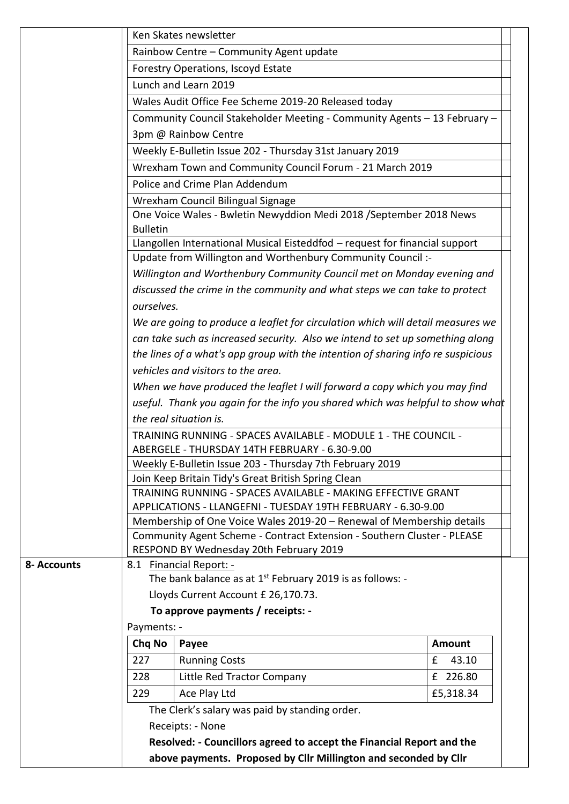|             |                 | Ken Skates newsletter                                                                                                                            |               |
|-------------|-----------------|--------------------------------------------------------------------------------------------------------------------------------------------------|---------------|
|             |                 | Rainbow Centre - Community Agent update                                                                                                          |               |
|             |                 | Forestry Operations, Iscoyd Estate                                                                                                               |               |
|             |                 | Lunch and Learn 2019                                                                                                                             |               |
|             |                 | Wales Audit Office Fee Scheme 2019-20 Released today                                                                                             |               |
|             |                 | Community Council Stakeholder Meeting - Community Agents - 13 February -                                                                         |               |
|             |                 | 3pm @ Rainbow Centre                                                                                                                             |               |
|             |                 | Weekly E-Bulletin Issue 202 - Thursday 31st January 2019                                                                                         |               |
|             |                 | Wrexham Town and Community Council Forum - 21 March 2019                                                                                         |               |
|             |                 | Police and Crime Plan Addendum                                                                                                                   |               |
|             |                 | Wrexham Council Bilingual Signage                                                                                                                |               |
|             | <b>Bulletin</b> | One Voice Wales - Bwletin Newyddion Medi 2018 / September 2018 News                                                                              |               |
|             |                 | Llangollen International Musical Eisteddfod - request for financial support                                                                      |               |
|             |                 | Update from Willington and Worthenbury Community Council :-                                                                                      |               |
|             |                 | Willington and Worthenbury Community Council met on Monday evening and                                                                           |               |
|             |                 | discussed the crime in the community and what steps we can take to protect                                                                       |               |
|             | ourselves.      |                                                                                                                                                  |               |
|             |                 | We are going to produce a leaflet for circulation which will detail measures we                                                                  |               |
|             |                 | can take such as increased security. Also we intend to set up something along                                                                    |               |
|             |                 | the lines of a what's app group with the intention of sharing info re suspicious                                                                 |               |
|             |                 | vehicles and visitors to the area.                                                                                                               |               |
|             |                 | When we have produced the leaflet I will forward a copy which you may find                                                                       |               |
|             |                 | useful. Thank you again for the info you shared which was helpful to show what                                                                   |               |
|             |                 | the real situation is.                                                                                                                           |               |
|             |                 | TRAINING RUNNING - SPACES AVAILABLE - MODULE 1 - THE COUNCIL -                                                                                   |               |
|             |                 | ABERGELE - THURSDAY 14TH FEBRUARY - 6.30-9.00                                                                                                    |               |
|             |                 | Weekly E-Bulletin Issue 203 - Thursday 7th February 2019                                                                                         |               |
|             |                 | Join Keep Britain Tidy's Great British Spring Clean                                                                                              |               |
|             |                 | TRAINING RUNNING - SPACES AVAILABLE - MAKING EFFECTIVE GRANT                                                                                     |               |
|             |                 | APPLICATIONS - LLANGEFNI - TUESDAY 19TH FEBRUARY - 6.30-9.00                                                                                     |               |
|             |                 | Membership of One Voice Wales 2019-20 - Renewal of Membership details<br>Community Agent Scheme - Contract Extension - Southern Cluster - PLEASE |               |
|             |                 | RESPOND BY Wednesday 20th February 2019                                                                                                          |               |
| 8- Accounts |                 | 8.1 Financial Report: -                                                                                                                          |               |
|             |                 | The bank balance as at $1^{st}$ February 2019 is as follows: -                                                                                   |               |
|             |                 | Lloyds Current Account £ 26,170.73.                                                                                                              |               |
|             |                 | To approve payments / receipts: -                                                                                                                |               |
|             | Payments: -     |                                                                                                                                                  |               |
|             | Chq No          | Payee                                                                                                                                            | <b>Amount</b> |
|             | 227             | <b>Running Costs</b>                                                                                                                             | £<br>43.10    |
|             | 228             | Little Red Tractor Company                                                                                                                       | £ 226.80      |
|             | 229             | Ace Play Ltd                                                                                                                                     | £5,318.34     |
|             |                 | The Clerk's salary was paid by standing order.                                                                                                   |               |
|             |                 | Receipts: - None                                                                                                                                 |               |
|             |                 | Resolved: - Councillors agreed to accept the Financial Report and the                                                                            |               |
|             |                 |                                                                                                                                                  |               |
|             |                 | above payments. Proposed by Cllr Millington and seconded by Cllr                                                                                 |               |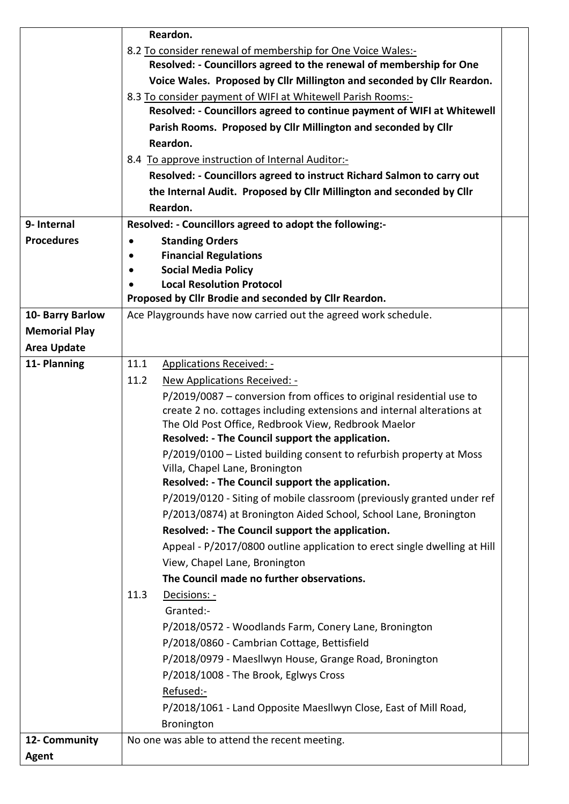|                      | Reardon.                                                                  |  |  |  |
|----------------------|---------------------------------------------------------------------------|--|--|--|
|                      | 8.2 To consider renewal of membership for One Voice Wales:-               |  |  |  |
|                      | Resolved: - Councillors agreed to the renewal of membership for One       |  |  |  |
|                      | Voice Wales. Proposed by Cllr Millington and seconded by Cllr Reardon.    |  |  |  |
|                      | 8.3 To consider payment of WIFI at Whitewell Parish Rooms:-               |  |  |  |
|                      | Resolved: - Councillors agreed to continue payment of WIFI at Whitewell   |  |  |  |
|                      | Parish Rooms. Proposed by Cllr Millington and seconded by Cllr            |  |  |  |
|                      | Reardon.                                                                  |  |  |  |
|                      | 8.4 To approve instruction of Internal Auditor:-                          |  |  |  |
|                      | Resolved: - Councillors agreed to instruct Richard Salmon to carry out    |  |  |  |
|                      | the Internal Audit. Proposed by Cllr Millington and seconded by Cllr      |  |  |  |
|                      | Reardon.                                                                  |  |  |  |
| 9- Internal          | Resolved: - Councillors agreed to adopt the following:-                   |  |  |  |
| <b>Procedures</b>    | <b>Standing Orders</b><br>$\bullet$                                       |  |  |  |
|                      | <b>Financial Regulations</b><br>$\bullet$                                 |  |  |  |
|                      | <b>Social Media Policy</b>                                                |  |  |  |
|                      | <b>Local Resolution Protocol</b>                                          |  |  |  |
|                      | Proposed by Cllr Brodie and seconded by Cllr Reardon.                     |  |  |  |
| 10- Barry Barlow     | Ace Playgrounds have now carried out the agreed work schedule.            |  |  |  |
| <b>Memorial Play</b> |                                                                           |  |  |  |
| <b>Area Update</b>   |                                                                           |  |  |  |
| 11- Planning         | 11.1<br><b>Applications Received: -</b>                                   |  |  |  |
|                      | 11.2<br>New Applications Received: -                                      |  |  |  |
|                      | P/2019/0087 - conversion from offices to original residential use to      |  |  |  |
|                      | create 2 no. cottages including extensions and internal alterations at    |  |  |  |
|                      | The Old Post Office, Redbrook View, Redbrook Maelor                       |  |  |  |
|                      | Resolved: - The Council support the application.                          |  |  |  |
|                      | P/2019/0100 - Listed building consent to refurbish property at Moss       |  |  |  |
|                      | Villa, Chapel Lane, Bronington                                            |  |  |  |
|                      | Resolved: - The Council support the application.                          |  |  |  |
|                      | P/2019/0120 - Siting of mobile classroom (previously granted under ref    |  |  |  |
|                      | P/2013/0874) at Bronington Aided School, School Lane, Bronington          |  |  |  |
|                      | Resolved: - The Council support the application.                          |  |  |  |
|                      | Appeal - P/2017/0800 outline application to erect single dwelling at Hill |  |  |  |
|                      | View, Chapel Lane, Bronington                                             |  |  |  |
|                      | The Council made no further observations.                                 |  |  |  |
|                      | 11.3<br>Decisions: -                                                      |  |  |  |
|                      | Granted:-                                                                 |  |  |  |
|                      |                                                                           |  |  |  |
|                      | P/2018/0572 - Woodlands Farm, Conery Lane, Bronington                     |  |  |  |
|                      | P/2018/0860 - Cambrian Cottage, Bettisfield                               |  |  |  |
|                      | P/2018/0979 - Maesllwyn House, Grange Road, Bronington                    |  |  |  |
|                      | P/2018/1008 - The Brook, Eglwys Cross                                     |  |  |  |
|                      | Refused:-                                                                 |  |  |  |
|                      | P/2018/1061 - Land Opposite Maesllwyn Close, East of Mill Road,           |  |  |  |
|                      | Bronington                                                                |  |  |  |
| 12- Community        | No one was able to attend the recent meeting.                             |  |  |  |
| <b>Agent</b>         |                                                                           |  |  |  |